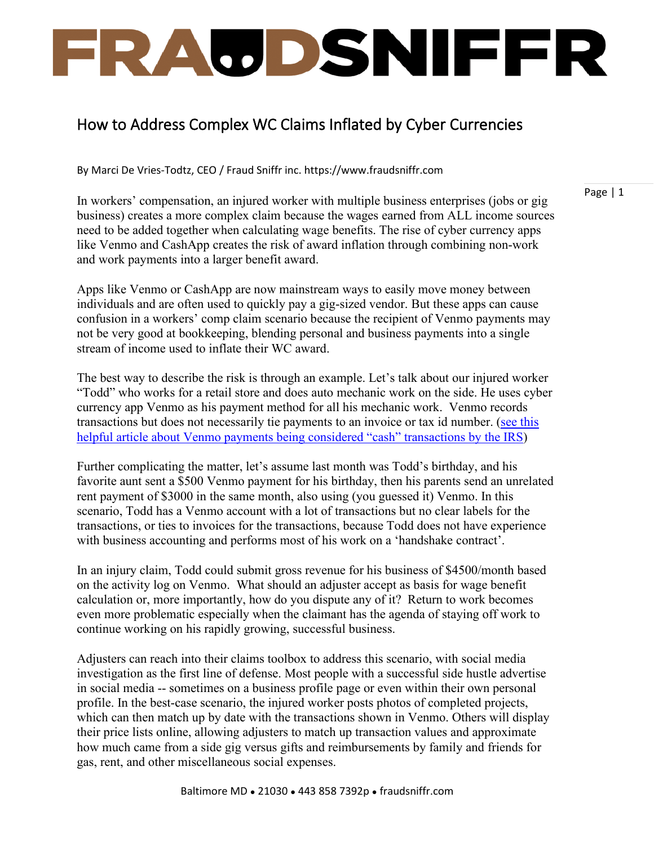## FRAUDSNIFFR

## How to Address Complex WC Claims Inflated by Cyber Currencies

By Marci De Vries-Todtz, CEO / Fraud Sniffr inc. https://www.fraudsniffr.com

In workers' compensation, an injured worker with multiple business enterprises (jobs or gig business) creates a more complex claim because the wages earned from ALL income sources need to be added together when calculating wage benefits. The rise of cyber currency apps like Venmo and CashApp creates the risk of award inflation through combining non-work and work payments into a larger benefit award.

Apps like Venmo or CashApp are now mainstream ways to easily move money between individuals and are often used to quickly pay a gig-sized vendor. But these apps can cause confusion in a workers' comp claim scenario because the recipient of Venmo payments may not be very good at bookkeeping, blending personal and business payments into a single stream of income used to inflate their WC award.

The best way to describe the risk is through an example. Let's talk about our injured worker "Todd" who works for a retail store and does auto mechanic work on the side. He uses cyber currency app Venmo as his payment method for all his mechanic work. Venmo records transactions but does not necessarily tie payments to an invoice or tax id number. [\(see this](https://www.crainscleveland.com/small-business/adviser-be-aware-tax-implications-if-using-venmo-business)  [helpful article about Venmo payments being considered "cash" transactions by the IRS\)](https://www.crainscleveland.com/small-business/adviser-be-aware-tax-implications-if-using-venmo-business)

Further complicating the matter, let's assume last month was Todd's birthday, and his favorite aunt sent a \$500 Venmo payment for his birthday, then his parents send an unrelated rent payment of \$3000 in the same month, also using (you guessed it) Venmo. In this scenario, Todd has a Venmo account with a lot of transactions but no clear labels for the transactions, or ties to invoices for the transactions, because Todd does not have experience with business accounting and performs most of his work on a 'handshake contract'.

In an injury claim, Todd could submit gross revenue for his business of \$4500/month based on the activity log on Venmo. What should an adjuster accept as basis for wage benefit calculation or, more importantly, how do you dispute any of it? Return to work becomes even more problematic especially when the claimant has the agenda of staying off work to continue working on his rapidly growing, successful business.

Adjusters can reach into their claims toolbox to address this scenario, with social media investigation as the first line of defense. Most people with a successful side hustle advertise in social media -- sometimes on a business profile page or even within their own personal profile. In the best-case scenario, the injured worker posts photos of completed projects, which can then match up by date with the transactions shown in Venmo. Others will display their price lists online, allowing adjusters to match up transaction values and approximate how much came from a side gig versus gifts and reimbursements by family and friends for gas, rent, and other miscellaneous social expenses.

Page | 1